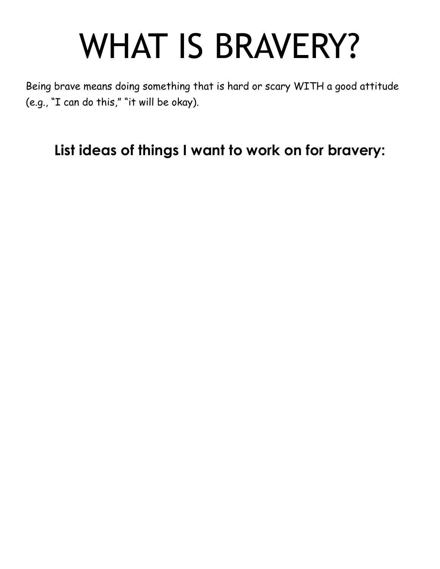# WHAT IS BRAVERY?

Being brave means doing something that is hard or scary WITH a good attitude (e.g., "I can do this," "it will be okay).

**List ideas of things I want to work on for bravery:**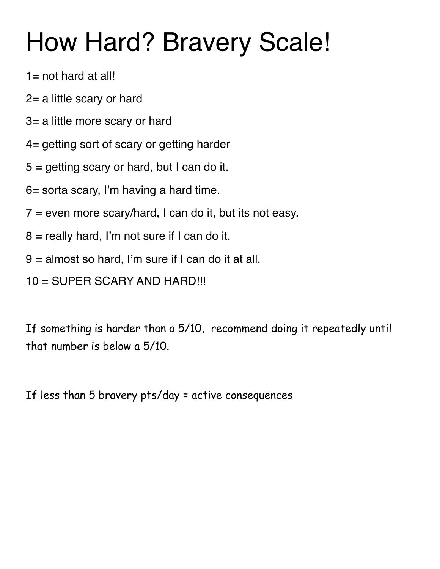## How Hard? Bravery Scale!

- $1=$  not hard at all!
- 2= a little scary or hard
- 3= a little more scary or hard
- 4= getting sort of scary or getting harder
- $5 =$  getting scary or hard, but I can do it.
- 6= sorta scary, I'm having a hard time.
- $7$  = even more scary/hard, I can do it, but its not easy.
- $8$  = really hard, I'm not sure if I can do it.
- 9 = almost so hard, I'm sure if I can do it at all.
- 10 = SUPER SCARY AND HARD!!!

If something is harder than a 5/10, recommend doing it repeatedly until that number is below a 5/10.

If less than 5 bravery pts/day = active consequences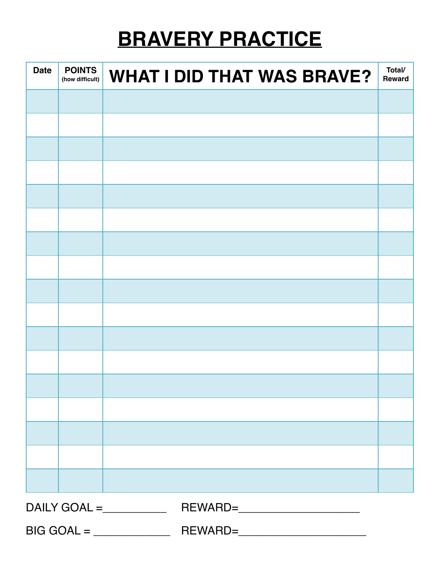#### **BRAVERY PRACTICE**

| <b>Date</b>       | <b>POINTS</b><br>(how difficult) | <b>WHAT I DID THAT WAS BRAVE?</b> | Total/<br><b>Reward</b> |
|-------------------|----------------------------------|-----------------------------------|-------------------------|
|                   |                                  |                                   |                         |
|                   |                                  |                                   |                         |
|                   |                                  |                                   |                         |
|                   |                                  |                                   |                         |
|                   |                                  |                                   |                         |
|                   |                                  |                                   |                         |
|                   |                                  |                                   |                         |
|                   |                                  |                                   |                         |
|                   |                                  |                                   |                         |
|                   |                                  |                                   |                         |
|                   |                                  |                                   |                         |
|                   |                                  |                                   |                         |
|                   |                                  |                                   |                         |
|                   |                                  |                                   |                         |
|                   |                                  |                                   |                         |
|                   |                                  |                                   |                         |
|                   |                                  |                                   |                         |
| $DAILY GOAL = \_$ |                                  |                                   |                         |
|                   |                                  |                                   |                         |